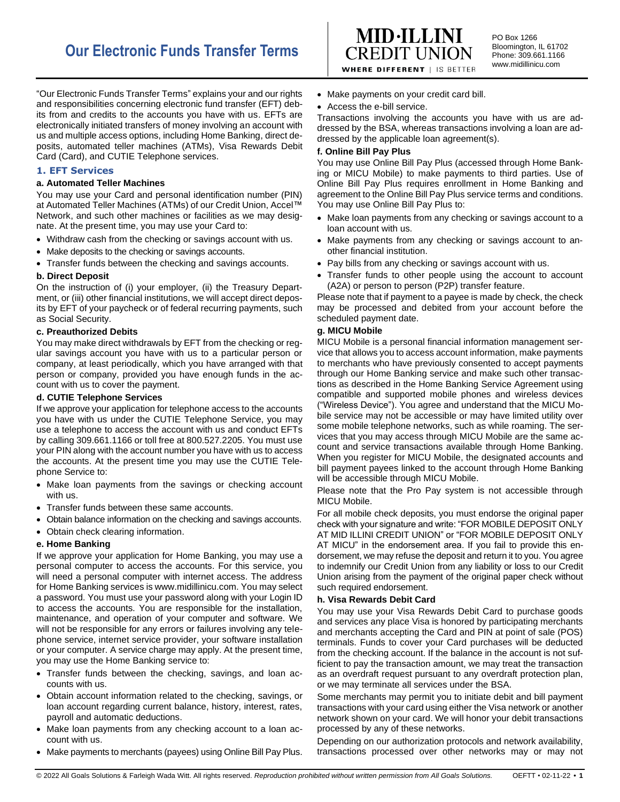

PO Box 1266 Bloomington, IL 61702 Phone: 309.661.1166 www.midillinicu.com

"Our Electronic Funds Transfer Terms" explains your and our rights and responsibilities concerning electronic fund transfer (EFT) debits from and credits to the accounts you have with us. EFTs are electronically initiated transfers of money involving an account with us and multiple access options, including Home Banking, direct deposits, automated teller machines (ATMs), Visa Rewards Debit Card (Card), and CUTIE Telephone services.

## **1. EFT Services**

## **a. Automated Teller Machines**

You may use your Card and personal identification number (PIN) at Automated Teller Machines (ATMs) of our Credit Union, Accel™ Network, and such other machines or facilities as we may designate. At the present time, you may use your Card to:

- Withdraw cash from the checking or savings account with us.
- Make deposits to the checking or savings accounts.

• Transfer funds between the checking and savings accounts.

### **b. Direct Deposit**

On the instruction of (i) your employer, (ii) the Treasury Department, or (iii) other financial institutions, we will accept direct deposits by EFT of your paycheck or of federal recurring payments, such as Social Security.

### **c. Preauthorized Debits**

You may make direct withdrawals by EFT from the checking or regular savings account you have with us to a particular person or company, at least periodically, which you have arranged with that person or company, provided you have enough funds in the account with us to cover the payment.

#### **d. CUTIE Telephone Services**

If we approve your application for telephone access to the accounts you have with us under the CUTIE Telephone Service, you may use a telephone to access the account with us and conduct EFTs by calling 309.661.1166 or toll free at 800.527.2205. You must use your PIN along with the account number you have with us to access the accounts. At the present time you may use the CUTIE Telephone Service to:

- Make loan payments from the savings or checking account with us.
- Transfer funds between these same accounts.
- Obtain balance information on the checking and savings accounts.
- Obtain check clearing information.

## **e. Home Banking**

If we approve your application for Home Banking, you may use a personal computer to access the accounts. For this service, you will need a personal computer with internet access. The address for Home Banking services is www.midillinicu.com. You may select a password. You must use your password along with your Login ID to access the accounts. You are responsible for the installation, maintenance, and operation of your computer and software. We will not be responsible for any errors or failures involving any telephone service, internet service provider, your software installation or your computer. A service charge may apply. At the present time, you may use the Home Banking service to:

- Transfer funds between the checking, savings, and loan accounts with us.
- Obtain account information related to the checking, savings, or loan account regarding current balance, history, interest, rates, payroll and automatic deductions.
- Make loan payments from any checking account to a loan account with us.
- Make payments to merchants (payees) using Online Bill Pay Plus.
- Make payments on your credit card bill.
- Access the e-bill service.

Transactions involving the accounts you have with us are addressed by the BSA, whereas transactions involving a loan are addressed by the applicable loan agreement(s).

### **f. Online Bill Pay Plus**

You may use Online Bill Pay Plus (accessed through Home Banking or MICU Mobile) to make payments to third parties. Use of Online Bill Pay Plus requires enrollment in Home Banking and agreement to the Online Bill Pay Plus service terms and conditions. You may use Online Bill Pay Plus to:

- Make loan payments from any checking or savings account to a loan account with us.
- Make payments from any checking or savings account to another financial institution.
- Pay bills from any checking or savings account with us.
- Transfer funds to other people using the account to account (A2A) or person to person (P2P) transfer feature.

Please note that if payment to a payee is made by check, the check may be processed and debited from your account before the scheduled payment date.

### **g. MICU Mobile**

MICU Mobile is a personal financial information management service that allows you to access account information, make payments to merchants who have previously consented to accept payments through our Home Banking service and make such other transactions as described in the Home Banking Service Agreement using compatible and supported mobile phones and wireless devices ("Wireless Device"). You agree and understand that the MICU Mobile service may not be accessible or may have limited utility over some mobile telephone networks, such as while roaming. The services that you may access through MICU Mobile are the same account and service transactions available through Home Banking. When you register for MICU Mobile, the designated accounts and bill payment payees linked to the account through Home Banking will be accessible through MICU Mobile.

Please note that the Pro Pay system is not accessible through MICU Mobile.

For all mobile check deposits, you must endorse the original paper check with your signature and write: "FOR MOBILE DEPOSIT ONLY AT MID ILLINI CREDIT UNION" or "FOR MOBILE DEPOSIT ONLY AT MICU" in the endorsement area. If you fail to provide this endorsement, we may refuse the deposit and return it to you. You agree to indemnify our Credit Union from any liability or loss to our Credit Union arising from the payment of the original paper check without such required endorsement.

## **h. Visa Rewards Debit Card**

You may use your Visa Rewards Debit Card to purchase goods and services any place Visa is honored by participating merchants and merchants accepting the Card and PIN at point of sale (POS) terminals. Funds to cover your Card purchases will be deducted from the checking account. If the balance in the account is not sufficient to pay the transaction amount, we may treat the transaction as an overdraft request pursuant to any overdraft protection plan, or we may terminate all services under the BSA.

Some merchants may permit you to initiate debit and bill payment transactions with your card using either the Visa network or another network shown on your card. We will honor your debit transactions processed by any of these networks.

Depending on our authorization protocols and network availability, transactions processed over other networks may or may not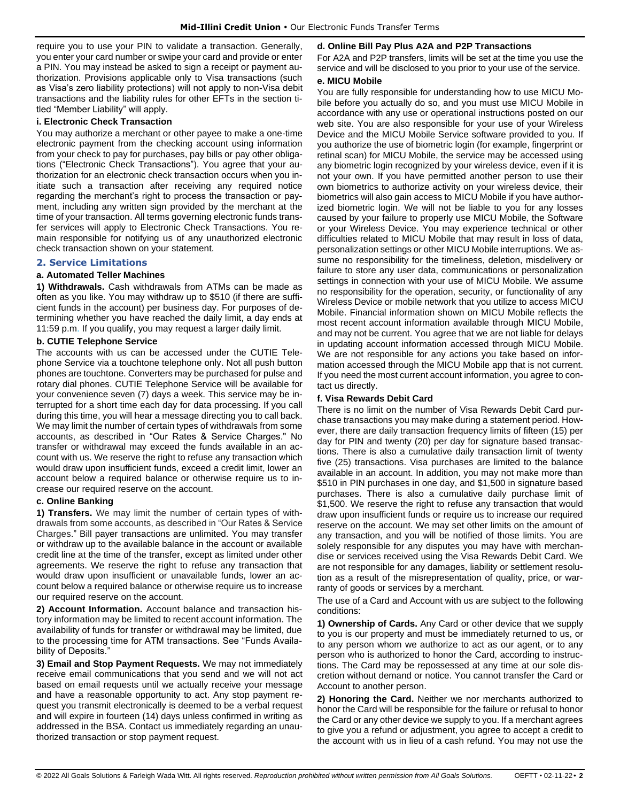require you to use your PIN to validate a transaction. Generally, you enter your card number or swipe your card and provide or enter a PIN. You may instead be asked to sign a receipt or payment authorization. Provisions applicable only to Visa transactions (such as Visa's zero liability protections) will not apply to non-Visa debit transactions and the liability rules for other EFTs in the section titled "Member Liability" will apply.

## **i. Electronic Check Transaction**

You may authorize a merchant or other payee to make a one-time electronic payment from the checking account using information from your check to pay for purchases, pay bills or pay other obligations ("Electronic Check Transactions"). You agree that your authorization for an electronic check transaction occurs when you initiate such a transaction after receiving any required notice regarding the merchant's right to process the transaction or payment, including any written sign provided by the merchant at the time of your transaction. All terms governing electronic funds transfer services will apply to Electronic Check Transactions. You remain responsible for notifying us of any unauthorized electronic check transaction shown on your statement.

### **2. Service Limitations**

### **a. Automated Teller Machines**

**1) Withdrawals.** Cash withdrawals from ATMs can be made as often as you like. You may withdraw up to \$510 (if there are sufficient funds in the account) per business day. For purposes of determining whether you have reached the daily limit, a day ends at 11:59 p.m. If you qualify, you may request a larger daily limit.

### **b. CUTIE Telephone Service**

The accounts with us can be accessed under the CUTIE Telephone Service via a touchtone telephone only. Not all push button phones are touchtone. Converters may be purchased for pulse and rotary dial phones. CUTIE Telephone Service will be available for your convenience seven (7) days a week. This service may be interrupted for a short time each day for data processing. If you call during this time, you will hear a message directing you to call back. We may limit the number of certain types of withdrawals from some accounts, as described in "Our Rates & Service Charges." No transfer or withdrawal may exceed the funds available in an account with us. We reserve the right to refuse any transaction which would draw upon insufficient funds, exceed a credit limit, lower an account below a required balance or otherwise require us to increase our required reserve on the account.

## **c. Online Banking**

**1) Transfers.** We may limit the number of certain types of withdrawals from some accounts, as described in "Our Rates & Service Charges." Bill payer transactions are unlimited. You may transfer or withdraw up to the available balance in the account or available credit line at the time of the transfer, except as limited under other agreements. We reserve the right to refuse any transaction that would draw upon insufficient or unavailable funds, lower an account below a required balance or otherwise require us to increase our required reserve on the account.

**2) Account Information.** Account balance and transaction history information may be limited to recent account information. The availability of funds for transfer or withdrawal may be limited, due to the processing time for ATM transactions. See "Funds Availability of Deposits.

**3) Email and Stop Payment Requests.** We may not immediately receive email communications that you send and we will not act based on email requests until we actually receive your message and have a reasonable opportunity to act. Any stop payment request you transmit electronically is deemed to be a verbal request and will expire in fourteen (14) days unless confirmed in writing as addressed in the BSA. Contact us immediately regarding an unauthorized transaction or stop payment request.

## **d. Online Bill Pay Plus A2A and P2P Transactions**

For A2A and P2P transfers, limits will be set at the time you use the service and will be disclosed to you prior to your use of the service.

#### **e. MICU Mobile**

You are fully responsible for understanding how to use MICU Mobile before you actually do so, and you must use MICU Mobile in accordance with any use or operational instructions posted on our web site. You are also responsible for your use of your Wireless Device and the MICU Mobile Service software provided to you. If you authorize the use of biometric login (for example, fingerprint or retinal scan) for MICU Mobile, the service may be accessed using any biometric login recognized by your wireless device, even if it is not your own. If you have permitted another person to use their own biometrics to authorize activity on your wireless device, their biometrics will also gain access to MICU Mobile if you have authorized biometric login. We will not be liable to you for any losses caused by your failure to properly use MICU Mobile, the Software or your Wireless Device. You may experience technical or other difficulties related to MICU Mobile that may result in loss of data, personalization settings or other MICU Mobile interruptions. We assume no responsibility for the timeliness, deletion, misdelivery or failure to store any user data, communications or personalization settings in connection with your use of MICU Mobile. We assume no responsibility for the operation, security, or functionality of any Wireless Device or mobile network that you utilize to access MICU Mobile. Financial information shown on MICU Mobile reflects the most recent account information available through MICU Mobile, and may not be current. You agree that we are not liable for delays in updating account information accessed through MICU Mobile. We are not responsible for any actions you take based on information accessed through the MICU Mobile app that is not current. If you need the most current account information, you agree to contact us directly.

## **f. Visa Rewards Debit Card**

There is no limit on the number of Visa Rewards Debit Card purchase transactions you may make during a statement period. However, there are daily transaction frequency limits of fifteen (15) per day for PIN and twenty (20) per day for signature based transactions. There is also a cumulative daily transaction limit of twenty five (25) transactions. Visa purchases are limited to the balance available in an account. In addition, you may not make more than \$510 in PIN purchases in one day, and \$1,500 in signature based purchases. There is also a cumulative daily purchase limit of \$1,500. We reserve the right to refuse any transaction that would draw upon insufficient funds or require us to increase our required reserve on the account. We may set other limits on the amount of any transaction, and you will be notified of those limits. You are solely responsible for any disputes you may have with merchandise or services received using the Visa Rewards Debit Card. We are not responsible for any damages, liability or settlement resolution as a result of the misrepresentation of quality, price, or warranty of goods or services by a merchant.

The use of a Card and Account with us are subject to the following conditions:

**1) Ownership of Cards.** Any Card or other device that we supply to you is our property and must be immediately returned to us, or to any person whom we authorize to act as our agent, or to any person who is authorized to honor the Card, according to instructions. The Card may be repossessed at any time at our sole discretion without demand or notice. You cannot transfer the Card or Account to another person.

**2) Honoring the Card.** Neither we nor merchants authorized to honor the Card will be responsible for the failure or refusal to honor the Card or any other device we supply to you. If a merchant agrees to give you a refund or adjustment, you agree to accept a credit to the account with us in lieu of a cash refund. You may not use the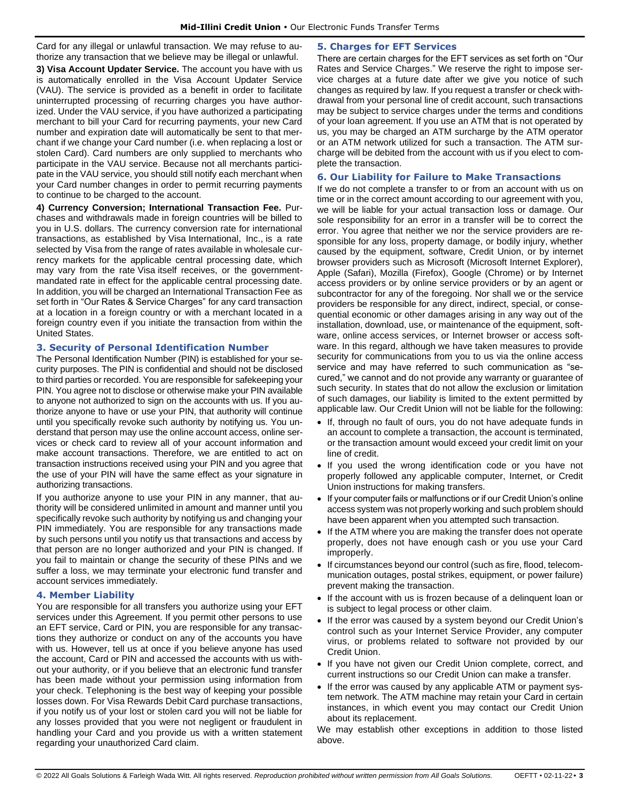Card for any illegal or unlawful transaction. We may refuse to authorize any transaction that we believe may be illegal or unlawful.

**3) Visa Account Updater Service.** The account you have with us is automatically enrolled in the Visa Account Updater Service (VAU). The service is provided as a benefit in order to facilitate uninterrupted processing of recurring charges you have authorized. Under the VAU service, if you have authorized a participating merchant to bill your Card for recurring payments, your new Card number and expiration date will automatically be sent to that merchant if we change your Card number (i.e. when replacing a lost or stolen Card). Card numbers are only supplied to merchants who participate in the VAU service. Because not all merchants participate in the VAU service, you should still notify each merchant when your Card number changes in order to permit recurring payments to continue to be charged to the account.

**4) Currency Conversion; International Transaction Fee.** Purchases and withdrawals made in foreign countries will be billed to you in U.S. dollars. The currency conversion rate for international transactions, as established by Visa International, Inc., is a rate selected by Visa from the range of rates available in wholesale currency markets for the applicable central processing date, which may vary from the rate Visa itself receives, or the governmentmandated rate in effect for the applicable central processing date. In addition, you will be charged an International Transaction Fee as set forth in "Our Rates & Service Charges" for any card transaction at a location in a foreign country or with a merchant located in a foreign country even if you initiate the transaction from within the United States.

# **3. Security of Personal Identification Number**

The Personal Identification Number (PIN) is established for your security purposes. The PIN is confidential and should not be disclosed to third parties or recorded. You are responsible for safekeeping your PIN. You agree not to disclose or otherwise make your PIN available to anyone not authorized to sign on the accounts with us. If you authorize anyone to have or use your PIN, that authority will continue until you specifically revoke such authority by notifying us. You understand that person may use the online account access, online services or check card to review all of your account information and make account transactions. Therefore, we are entitled to act on transaction instructions received using your PIN and you agree that the use of your PIN will have the same effect as your signature in authorizing transactions.

If you authorize anyone to use your PIN in any manner, that authority will be considered unlimited in amount and manner until you specifically revoke such authority by notifying us and changing your PIN immediately. You are responsible for any transactions made by such persons until you notify us that transactions and access by that person are no longer authorized and your PIN is changed. If you fail to maintain or change the security of these PINs and we suffer a loss, we may terminate your electronic fund transfer and account services immediately.

## **4. Member Liability**

You are responsible for all transfers you authorize using your EFT services under this Agreement. If you permit other persons to use an EFT service, Card or PIN, you are responsible for any transactions they authorize or conduct on any of the accounts you have with us. However, tell us at once if you believe anyone has used the account, Card or PIN and accessed the accounts with us without your authority, or if you believe that an electronic fund transfer has been made without your permission using information from your check. Telephoning is the best way of keeping your possible losses down. For Visa Rewards Debit Card purchase transactions, if you notify us of your lost or stolen card you will not be liable for any losses provided that you were not negligent or fraudulent in handling your Card and you provide us with a written statement regarding your unauthorized Card claim.

# **5. Charges for EFT Services**

There are certain charges for the EFT services as set forth on "Our Rates and Service Charges." We reserve the right to impose service charges at a future date after we give you notice of such changes as required by law. If you request a transfer or check withdrawal from your personal line of credit account, such transactions may be subject to service charges under the terms and conditions of your loan agreement. If you use an ATM that is not operated by us, you may be charged an ATM surcharge by the ATM operator or an ATM network utilized for such a transaction. The ATM surcharge will be debited from the account with us if you elect to complete the transaction.

## **6. Our Liability for Failure to Make Transactions**

If we do not complete a transfer to or from an account with us on time or in the correct amount according to our agreement with you, we will be liable for your actual transaction loss or damage. Our sole responsibility for an error in a transfer will be to correct the error. You agree that neither we nor the service providers are responsible for any loss, property damage, or bodily injury, whether caused by the equipment, software, Credit Union, or by internet browser providers such as Microsoft (Microsoft Internet Explorer), Apple (Safari), Mozilla (Firefox), Google (Chrome) or by Internet access providers or by online service providers or by an agent or subcontractor for any of the foregoing. Nor shall we or the service providers be responsible for any direct, indirect, special, or consequential economic or other damages arising in any way out of the installation, download, use, or maintenance of the equipment, software, online access services, or Internet browser or access software. In this regard, although we have taken measures to provide security for communications from you to us via the online access service and may have referred to such communication as "secured," we cannot and do not provide any warranty or guarantee of such security. In states that do not allow the exclusion or limitation of such damages, our liability is limited to the extent permitted by applicable law. Our Credit Union will not be liable for the following:

- If, through no fault of ours, you do not have adequate funds in an account to complete a transaction, the account is terminated, or the transaction amount would exceed your credit limit on your line of credit.
- If you used the wrong identification code or you have not properly followed any applicable computer, Internet, or Credit Union instructions for making transfers.
- If your computer fails or malfunctions or if our Credit Union's online access system was not properly working and such problem should have been apparent when you attempted such transaction.
- If the ATM where you are making the transfer does not operate properly, does not have enough cash or you use your Card improperly.
- If circumstances beyond our control (such as fire, flood, telecommunication outages, postal strikes, equipment, or power failure) prevent making the transaction.
- If the account with us is frozen because of a delinquent loan or is subject to legal process or other claim.
- If the error was caused by a system beyond our Credit Union's control such as your Internet Service Provider, any computer virus, or problems related to software not provided by our Credit Union.
- If you have not given our Credit Union complete, correct, and current instructions so our Credit Union can make a transfer.
- If the error was caused by any applicable ATM or payment system network. The ATM machine may retain your Card in certain instances, in which event you may contact our Credit Union about its replacement.

We may establish other exceptions in addition to those listed above.